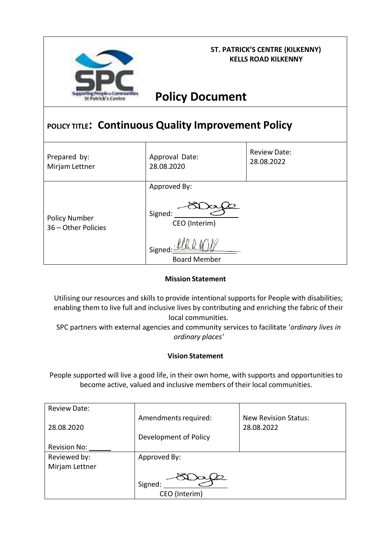

### **ST. PATRICK'S CENTRE (KILKENNY) KELLS ROAD KILKENNY**

**Policy Document**

# **POLICY TITLE: Continuous Quality Improvement Policy**

| Prepared by:                                | Approval Date:                                                            | <b>Review Date:</b> |
|---------------------------------------------|---------------------------------------------------------------------------|---------------------|
| Mirjam Lettner                              | 28.08.2020                                                                | 28.08.2022          |
| <b>Policy Number</b><br>36 - Other Policies | Approved By:<br>Signed:<br>CEO (Interim)<br>Signed<br><b>Board Member</b> |                     |

## **Mission Statement**

Utilising our resources and skills to provide intentional supports for People with disabilities; enabling them to live full and inclusive lives by contributing and enriching the fabric of their local communities.

SPC partners with external agencies and community services to facilitate '*ordinary lives in ordinary places'*

### **Vision Statement**

People supported will live a good life, in their own home, with supports and opportunities to become active, valued and inclusive members of their local communities.

| <b>Review Date:</b> |                       |                             |
|---------------------|-----------------------|-----------------------------|
|                     | Amendments required:  | <b>New Revision Status:</b> |
| 28.08.2020          |                       | 28.08.2022                  |
|                     | Development of Policy |                             |
| <b>Revision No:</b> |                       |                             |
| Reviewed by:        | Approved By:          |                             |
| Mirjam Lettner      |                       |                             |
|                     |                       |                             |
|                     | Signed:               |                             |
|                     | CEO (Interim)         |                             |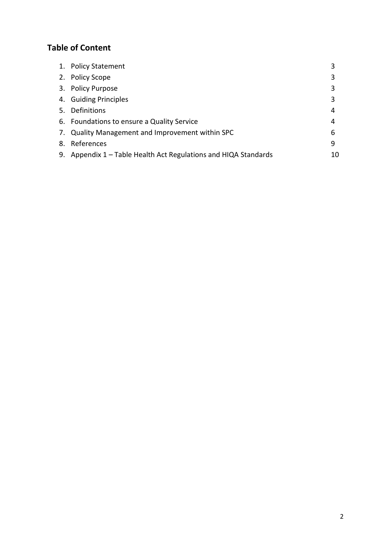## **Table of Content**

| 1. Policy Statement                                             |    |
|-----------------------------------------------------------------|----|
| 2. Policy Scope                                                 |    |
| 3. Policy Purpose                                               |    |
| 4. Guiding Principles                                           |    |
| 5. Definitions                                                  | 4  |
| 6. Foundations to ensure a Quality Service                      | 4  |
| 7. Quality Management and Improvement within SPC                | 6  |
| 8. References                                                   | 9  |
| 9. Appendix 1 - Table Health Act Regulations and HIQA Standards | 10 |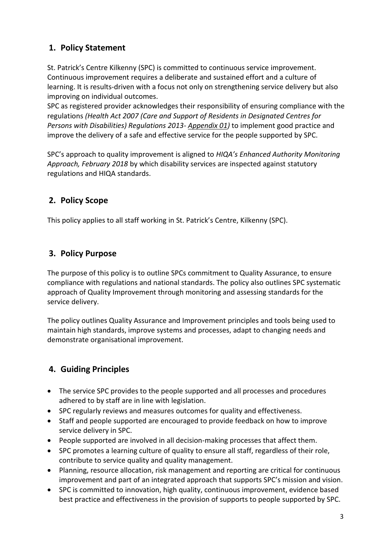## **1. Policy Statement**

St. Patrick's Centre Kilkenny (SPC) is committed to continuous service improvement. Continuous improvement requires a deliberate and sustained effort and a culture of learning. It is results-driven with a focus not only on strengthening service delivery but also improving on individual outcomes.

SPC as registered provider acknowledges their responsibility of ensuring compliance with the regulations *(Health Act 2007 (Care and Support of Residents in Designated Centres for Persons with Disabilities) Regulations 2013- Appendix 01)* to implement good practice and improve the delivery of a safe and effective service for the people supported by SPC.

SPC's approach to quality improvement is aligned to *HIQA's Enhanced Authority Monitoring Approach, February 2018* by which disability services are inspected against statutory regulations and HIQA standards.

## **2. Policy Scope**

This policy applies to all staff working in St. Patrick's Centre, Kilkenny (SPC).

## **3. Policy Purpose**

The purpose of this policy is to outline SPCs commitment to Quality Assurance, to ensure compliance with regulations and national standards. The policy also outlines SPC systematic approach of Quality Improvement through monitoring and assessing standards for the service delivery.

The policy outlines Quality Assurance and Improvement principles and tools being used to maintain high standards, improve systems and processes, adapt to changing needs and demonstrate organisational improvement.

## **4. Guiding Principles**

- The service SPC provides to the people supported and all processes and procedures adhered to by staff are in line with legislation.
- SPC regularly reviews and measures outcomes for quality and effectiveness.
- Staff and people supported are encouraged to provide feedback on how to improve service delivery in SPC.
- People supported are involved in all decision-making processes that affect them.
- SPC promotes a learning culture of quality to ensure all staff, regardless of their role, contribute to service quality and quality management.
- Planning, resource allocation, risk management and reporting are critical for continuous improvement and part of an integrated approach that supports SPC's mission and vision.
- SPC is committed to innovation, high quality, continuous improvement, evidence based best practice and effectiveness in the provision of supports to people supported by SPC.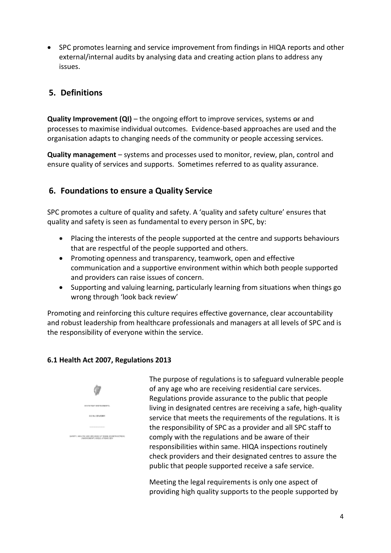SPC promotes learning and service improvement from findings in HIQA reports and other external/internal audits by analysing data and creating action plans to address any issues.

## **5. Definitions**

**Quality Improvement (QI)** – the ongoing effort to improve services, systems or and processes to maximise individual outcomes. Evidence-based approaches are used and the organisation adapts to changing needs of the community or people accessing services.

**Quality management** – systems and processes used to monitor, review, plan, control and ensure quality of services and supports. Sometimes referred to as quality assurance.

## **6. Foundations to ensure a Quality Service**

SPC promotes a culture of quality and safety. A 'quality and safety culture' ensures that quality and safety is seen as fundamental to every person in SPC, by:

- Placing the interests of the people supported at the centre and supports behaviours that are respectful of the people supported and others.
- Promoting openness and transparency, teamwork, open and effective communication and a supportive environment within which both people supported and providers can raise issues of concern.
- Supporting and valuing learning, particularly learning from situations when things go wrong through 'look back review'

Promoting and reinforcing this culture requires effective governance, clear accountability and robust leadership from healthcare professionals and managers at all levels of SPC and is the responsibility of everyone within the service.

## **6.1 Health Act 2007, Regulations 2013**



The purpose of regulations is to safeguard vulnerable people of any age who are receiving residential care services. Regulations provide assurance to the public that people living in designated centres are receiving a safe, high-quality service that meets the requirements of the regulations. It is the responsibility of SPC as a provider and all SPC staff to comply with the regulations and be aware of their responsibilities within same. HIQA inspections routinely check providers and their designated centres to assure the public that people supported receive a safe service.

Meeting the legal requirements is only one aspect of providing high quality supports to the people supported by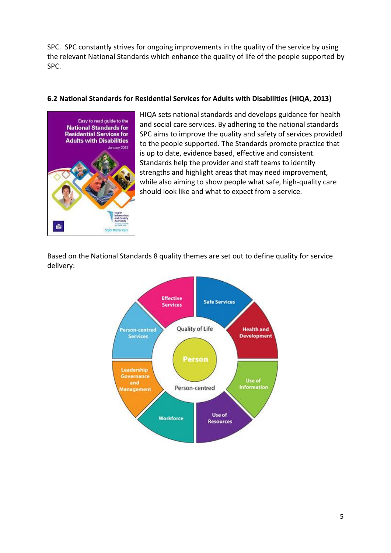SPC. SPC constantly strives for ongoing improvements in the quality of the service by using the relevant National Standards which enhance the quality of life of the people supported by SPC.

### **6.2 National Standards for Residential Services for Adults with Disabilities (HIQA, 2013)**



HIQA sets national standards and develops guidance for health and social care services. By adhering to the national standards SPC aims to improve the quality and safety of services provided to the people supported. The Standards promote practice that is up to date, evidence based, effective and consistent. Standards help the provider and staff teams to identify strengths and highlight areas that may need improvement, while also aiming to show people what safe, high-quality care should look like and what to expect from a service.

Based on the National Standards 8 quality themes are set out to define quality for service delivery:

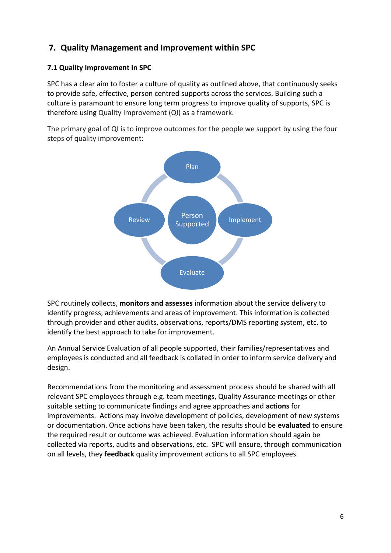## **7. Quality Management and Improvement within SPC**

## **7.1 Quality Improvement in SPC**

SPC has a clear aim to foster a culture of quality as outlined above, that continuously seeks to provide safe, effective, person centred supports across the services. Building such a culture is paramount to ensure long term progress to improve quality of supports, SPC is therefore using Quality Improvement (QI) as a framework.

The primary goal of QI is to improve outcomes for the people we support by using the four steps of quality improvement:



SPC routinely collects, **monitors and assesses** information about the service delivery to identify progress, achievements and areas of improvement. This information is collected through provider and other audits, observations, reports/DMS reporting system, etc. to identify the best approach to take for improvement.

An Annual Service Evaluation of all people supported, their families/representatives and employees is conducted and all feedback is collated in order to inform service delivery and design.

Recommendations from the monitoring and assessment process should be shared with all relevant SPC employees through e.g. team meetings, Quality Assurance meetings or other suitable setting to communicate findings and agree approaches and **actions** for improvements. Actions may involve development of policies, development of new systems or documentation. Once actions have been taken, the results should be **evaluated** to ensure the required result or outcome was achieved. Evaluation information should again be collected via reports, audits and observations, etc. SPC will ensure, through communication on all levels, they **feedback** quality improvement actions to all SPC employees.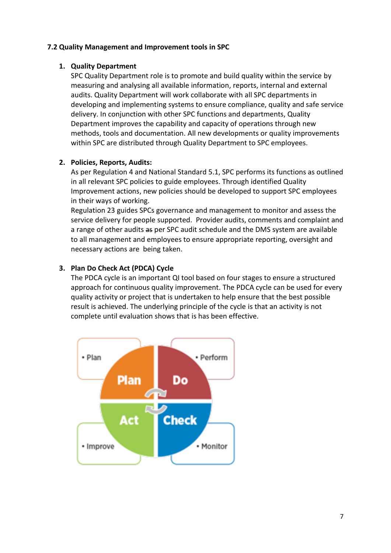#### **7.2 Quality Management and Improvement tools in SPC**

#### **1. Quality Department**

SPC Quality Department role is to promote and build quality within the service by measuring and analysing all available information, reports, internal and external audits. Quality Department will work collaborate with all SPC departments in developing and implementing systems to ensure compliance, quality and safe service delivery. In conjunction with other SPC functions and departments, Quality Department improves the capability and capacity of operations through new methods, tools and documentation. All new developments or quality improvements within SPC are distributed through Quality Department to SPC employees.

### **2. Policies, Reports, Audits:**

As per Regulation 4 and National Standard 5.1, SPC performs its functions as outlined in all relevant SPC policies to guide employees. Through identified Quality Improvement actions, new policies should be developed to support SPC employees in their ways of working.

Regulation 23 guides SPCs governance and management to monitor and assess the service delivery for people supported. Provider audits, comments and complaint and a range of other audits as per SPC audit schedule and the DMS system are available to all management and employees to ensure appropriate reporting, oversight and necessary actions are being taken.

### **3. Plan Do Check Act (PDCA) Cycle**

The PDCA cycle is an important QI tool based on four stages to ensure a structured approach for continuous quality improvement. The PDCA cycle can be used for every quality activity or project that is undertaken to help ensure that the best possible result is achieved. The underlying principle of the cycle is that an activity is not complete until evaluation shows that is has been effective.

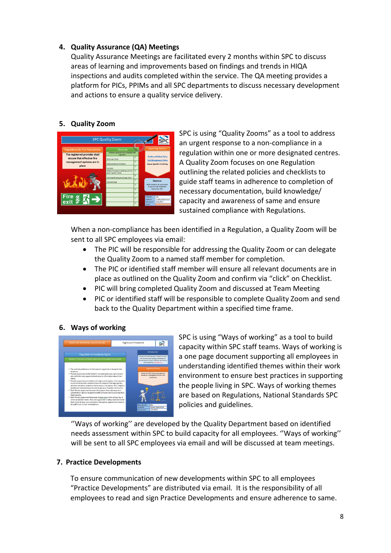## **4. Quality Assurance (QA) Meetings**

Quality Assurance Meetings are facilitated every 2 months within SPC to discuss areas of learning and improvements based on findings and trends in HIQA inspections and audits completed within the service. The QA meeting provides a platform for PICs, PPIMs and all SPC departments to discuss necessary development and actions to ensure a quality service delivery.

### **5. Quality Zoom**



SPC is using "Quality Zooms" as a tool to address an urgent response to a non-compliance in a regulation within one or more designated centres. A Quality Zoom focuses on one Regulation outlining the related policies and checklists to guide staff teams in adherence to completion of necessary documentation, build knowledge/ capacity and awareness of same and ensure sustained compliance with Regulations.

When a non-compliance has been identified in a Regulation, a Quality Zoom will be sent to all SPC employees via email:

- The PIC will be responsible for addressing the Quality Zoom or can delegate the Quality Zoom to a named staff member for completion.
- The PIC or identified staff member will ensure all relevant documents are in place as outlined on the Quality Zoom and confirm via "click" on Checklist.
- PIC will bring completed Quality Zoom and discussed at Team Meeting
- PIC or identified staff will be responsible to complete Quality Zoom and send back to the Quality Department within a specified time frame.

#### **6. Ways of working**



SPC is using "Ways of working" as a tool to build capacity within SPC staff teams. Ways of working is a one page document supporting all employees in understanding identified themes within their work environment to ensure best practices in supporting the people living in SPC. Ways of working themes are based on Regulations, National Standards SPC policies and guidelines.

''Ways of working'' are developed by the Quality Department based on identified needs assessment within SPC to build capacity for all employees. ''Ways of working'' will be sent to all SPC employees via email and will be discussed at team meetings.

### **7. Practice Developments**

To ensure communication of new developments within SPC to all employees "Practice Developments" are distributed via email. It is the responsibility of all employees to read and sign Practice Developments and ensure adherence to same.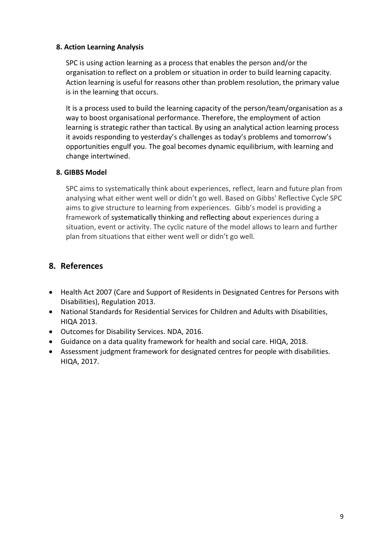#### **8. Action Learning Analysis**

SPC is using action learning as a process that enables the person and/or the organisation to reflect on a problem or situation in order to build learning capacity. Action learning is useful for reasons other than problem resolution, the primary value is in the learning that occurs.

It is a process used to build the learning capacity of the person/team/organisation as a way to boost organisational performance. Therefore, the employment of action learning is strategic rather than tactical. By using an analytical action learning process it avoids responding to yesterday's challenges as today's problems and tomorrow's opportunities engulf you. The goal becomes dynamic equilibrium, with learning and change intertwined.

#### **8. GIBBS Model**

SPC aims to systematically think about experiences, reflect, learn and future plan from analysing what either went well or didn't go well. Based on Gibbs' Reflective Cycle SPC aims to give structure to learning from experiences. Gibb's model is providing a framework of systematically thinking and reflecting about experiences during a situation, event or activity. The cyclic nature of the model allows to learn and further plan from situations that either went well or didn't go well.

## **8. References**

- Health Act 2007 (Care and Support of Residents in Designated Centres for Persons with Disabilities), Regulation 2013.
- National Standards for Residential Services for Children and Adults with Disabilities, HIQA 2013.
- Outcomes for Disability Services. NDA, 2016.
- Guidance on a data quality framework for health and social care. HIQA, 2018.
- Assessment judgment framework for designated centres for people with disabilities. HIQA, 2017.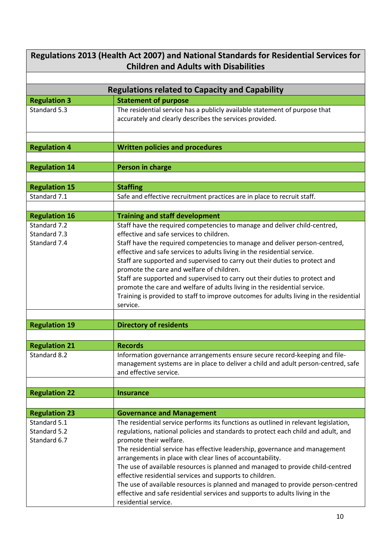| Regulations 2013 (Health Act 2007) and National Standards for Residential Services for<br><b>Children and Adults with Disabilities</b> |                                                                                                                                                                                                                                                                                                                                                                                                                                                                                                                                                                                                                                                                                         |  |  |  |
|----------------------------------------------------------------------------------------------------------------------------------------|-----------------------------------------------------------------------------------------------------------------------------------------------------------------------------------------------------------------------------------------------------------------------------------------------------------------------------------------------------------------------------------------------------------------------------------------------------------------------------------------------------------------------------------------------------------------------------------------------------------------------------------------------------------------------------------------|--|--|--|
|                                                                                                                                        |                                                                                                                                                                                                                                                                                                                                                                                                                                                                                                                                                                                                                                                                                         |  |  |  |
| <b>Regulations related to Capacity and Capability</b>                                                                                  |                                                                                                                                                                                                                                                                                                                                                                                                                                                                                                                                                                                                                                                                                         |  |  |  |
| <b>Regulation 3</b>                                                                                                                    | <b>Statement of purpose</b>                                                                                                                                                                                                                                                                                                                                                                                                                                                                                                                                                                                                                                                             |  |  |  |
| Standard 5.3                                                                                                                           | The residential service has a publicly available statement of purpose that<br>accurately and clearly describes the services provided.                                                                                                                                                                                                                                                                                                                                                                                                                                                                                                                                                   |  |  |  |
| <b>Regulation 4</b>                                                                                                                    | <b>Written policies and procedures</b>                                                                                                                                                                                                                                                                                                                                                                                                                                                                                                                                                                                                                                                  |  |  |  |
|                                                                                                                                        |                                                                                                                                                                                                                                                                                                                                                                                                                                                                                                                                                                                                                                                                                         |  |  |  |
| <b>Regulation 14</b>                                                                                                                   | Person in charge                                                                                                                                                                                                                                                                                                                                                                                                                                                                                                                                                                                                                                                                        |  |  |  |
|                                                                                                                                        |                                                                                                                                                                                                                                                                                                                                                                                                                                                                                                                                                                                                                                                                                         |  |  |  |
| <b>Regulation 15</b>                                                                                                                   | <b>Staffing</b>                                                                                                                                                                                                                                                                                                                                                                                                                                                                                                                                                                                                                                                                         |  |  |  |
| Standard 7.1                                                                                                                           | Safe and effective recruitment practices are in place to recruit staff.                                                                                                                                                                                                                                                                                                                                                                                                                                                                                                                                                                                                                 |  |  |  |
|                                                                                                                                        |                                                                                                                                                                                                                                                                                                                                                                                                                                                                                                                                                                                                                                                                                         |  |  |  |
| <b>Regulation 16</b>                                                                                                                   | <b>Training and staff development</b>                                                                                                                                                                                                                                                                                                                                                                                                                                                                                                                                                                                                                                                   |  |  |  |
| Standard 7.2<br>Standard 7.3<br>Standard 7.4                                                                                           | Staff have the required competencies to manage and deliver child-centred,<br>effective and safe services to children.<br>Staff have the required competencies to manage and deliver person-centred,<br>effective and safe services to adults living in the residential service.<br>Staff are supported and supervised to carry out their duties to protect and<br>promote the care and welfare of children.<br>Staff are supported and supervised to carry out their duties to protect and<br>promote the care and welfare of adults living in the residential service.<br>Training is provided to staff to improve outcomes for adults living in the residential<br>service.           |  |  |  |
| <b>Regulation 19</b>                                                                                                                   | <b>Directory of residents</b>                                                                                                                                                                                                                                                                                                                                                                                                                                                                                                                                                                                                                                                           |  |  |  |
|                                                                                                                                        |                                                                                                                                                                                                                                                                                                                                                                                                                                                                                                                                                                                                                                                                                         |  |  |  |
| <b>Regulation 21</b>                                                                                                                   | <b>Records</b>                                                                                                                                                                                                                                                                                                                                                                                                                                                                                                                                                                                                                                                                          |  |  |  |
| Standard 8.2                                                                                                                           | Information governance arrangements ensure secure record-keeping and file-<br>management systems are in place to deliver a child and adult person-centred, safe<br>and effective service.                                                                                                                                                                                                                                                                                                                                                                                                                                                                                               |  |  |  |
|                                                                                                                                        |                                                                                                                                                                                                                                                                                                                                                                                                                                                                                                                                                                                                                                                                                         |  |  |  |
| <b>Regulation 22</b>                                                                                                                   | <b>Insurance</b>                                                                                                                                                                                                                                                                                                                                                                                                                                                                                                                                                                                                                                                                        |  |  |  |
|                                                                                                                                        |                                                                                                                                                                                                                                                                                                                                                                                                                                                                                                                                                                                                                                                                                         |  |  |  |
| <b>Regulation 23</b>                                                                                                                   | <b>Governance and Management</b>                                                                                                                                                                                                                                                                                                                                                                                                                                                                                                                                                                                                                                                        |  |  |  |
| Standard 5.1<br>Standard 5.2<br>Standard 6.7                                                                                           | The residential service performs its functions as outlined in relevant legislation,<br>regulations, national policies and standards to protect each child and adult, and<br>promote their welfare.<br>The residential service has effective leadership, governance and management<br>arrangements in place with clear lines of accountability.<br>The use of available resources is planned and managed to provide child-centred<br>effective residential services and supports to children.<br>The use of available resources is planned and managed to provide person-centred<br>effective and safe residential services and supports to adults living in the<br>residential service. |  |  |  |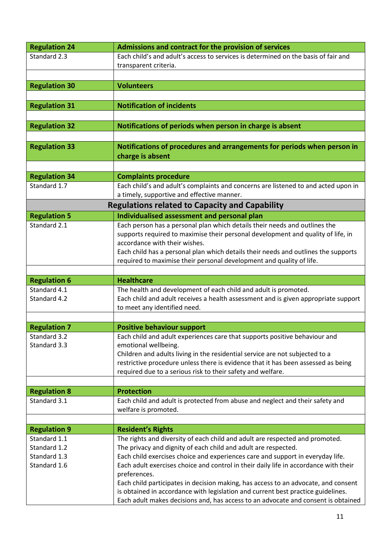| <b>Regulation 24</b> | Admissions and contract for the provision of services                                                                                                                 |
|----------------------|-----------------------------------------------------------------------------------------------------------------------------------------------------------------------|
| Standard 2.3         | Each child's and adult's access to services is determined on the basis of fair and                                                                                    |
|                      | transparent criteria.                                                                                                                                                 |
|                      |                                                                                                                                                                       |
|                      |                                                                                                                                                                       |
| <b>Regulation 30</b> | <b>Volunteers</b>                                                                                                                                                     |
|                      |                                                                                                                                                                       |
| <b>Regulation 31</b> | <b>Notification of incidents</b>                                                                                                                                      |
|                      |                                                                                                                                                                       |
| <b>Regulation 32</b> | Notifications of periods when person in charge is absent                                                                                                              |
|                      |                                                                                                                                                                       |
|                      |                                                                                                                                                                       |
| <b>Regulation 33</b> | Notifications of procedures and arrangements for periods when person in                                                                                               |
|                      | charge is absent                                                                                                                                                      |
|                      |                                                                                                                                                                       |
| <b>Regulation 34</b> | <b>Complaints procedure</b>                                                                                                                                           |
| Standard 1.7         | Each child's and adult's complaints and concerns are listened to and acted upon in                                                                                    |
|                      | a timely, supportive and effective manner.                                                                                                                            |
|                      |                                                                                                                                                                       |
|                      | <b>Regulations related to Capacity and Capability</b>                                                                                                                 |
| <b>Regulation 5</b>  | Individualised assessment and personal plan                                                                                                                           |
| Standard 2.1         | Each person has a personal plan which details their needs and outlines the                                                                                            |
|                      | supports required to maximise their personal development and quality of life, in                                                                                      |
|                      | accordance with their wishes.                                                                                                                                         |
|                      | Each child has a personal plan which details their needs and outlines the supports                                                                                    |
|                      | required to maximise their personal development and quality of life.                                                                                                  |
|                      |                                                                                                                                                                       |
|                      |                                                                                                                                                                       |
|                      |                                                                                                                                                                       |
| <b>Regulation 6</b>  | <b>Healthcare</b>                                                                                                                                                     |
| Standard 4.1         | The health and development of each child and adult is promoted.                                                                                                       |
| Standard 4.2         | Each child and adult receives a health assessment and is given appropriate support                                                                                    |
|                      | to meet any identified need.                                                                                                                                          |
|                      |                                                                                                                                                                       |
| <b>Regulation 7</b>  | <b>Positive behaviour support</b>                                                                                                                                     |
| Standard 3.2         |                                                                                                                                                                       |
| Standard 3.3         | Each child and adult experiences care that supports positive behaviour and                                                                                            |
|                      | emotional wellbeing.                                                                                                                                                  |
|                      | Children and adults living in the residential service are not subjected to a                                                                                          |
|                      | restrictive procedure unless there is evidence that it has been assessed as being                                                                                     |
|                      | required due to a serious risk to their safety and welfare.                                                                                                           |
|                      |                                                                                                                                                                       |
| <b>Regulation 8</b>  | <b>Protection</b>                                                                                                                                                     |
| Standard 3.1         | Each child and adult is protected from abuse and neglect and their safety and                                                                                         |
|                      | welfare is promoted.                                                                                                                                                  |
|                      |                                                                                                                                                                       |
| <b>Regulation 9</b>  | <b>Resident's Rights</b>                                                                                                                                              |
| Standard 1.1         | The rights and diversity of each child and adult are respected and promoted.                                                                                          |
|                      |                                                                                                                                                                       |
| Standard 1.2         | The privacy and dignity of each child and adult are respected.                                                                                                        |
| Standard 1.3         | Each child exercises choice and experiences care and support in everyday life.                                                                                        |
| Standard 1.6         | Each adult exercises choice and control in their daily life in accordance with their                                                                                  |
|                      | preferences.                                                                                                                                                          |
|                      | Each child participates in decision making, has access to an advocate, and consent                                                                                    |
|                      | is obtained in accordance with legislation and current best practice guidelines.<br>Each adult makes decisions and, has access to an advocate and consent is obtained |